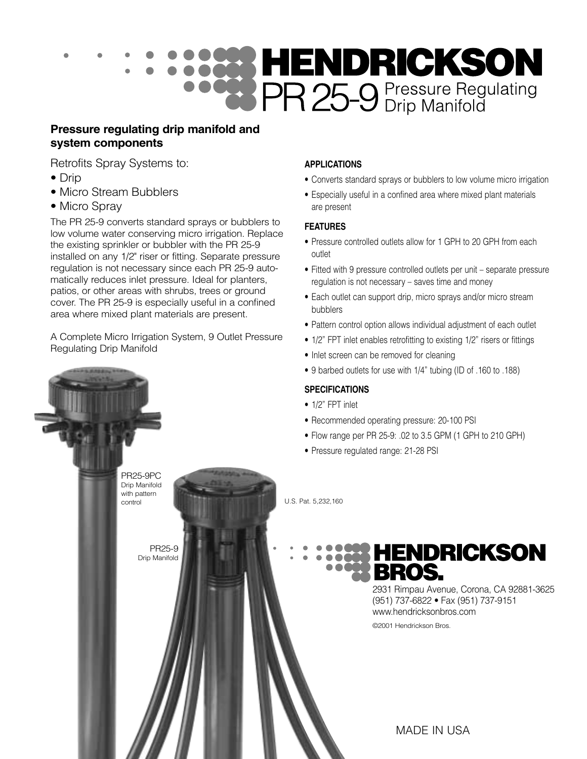

#### **Pressure regulating drip manifold and system components**

Retrofits Spray Systems to:

- Drip
- Micro Stream Bubblers
- Micro Spray

The PR 25-9 converts standard sprays or bubblers to low volume water conserving micro irrigation. Replace the existing sprinkler or bubbler with the PR 25-9 installed on any 1/2" riser or fitting. Separate pressure regulation is not necessary since each PR 25-9 automatically reduces inlet pressure. Ideal for planters, patios, or other areas with shrubs, trees or ground cover. The PR 25-9 is especially useful in a confined area where mixed plant materials are present.

A Complete Micro Irrigation System, 9 Outlet Pressure Regulating Drip Manifold

> PR25-9 Drip Manifold

PR25-9PC Drip Manifold with pattern control

#### **APPLICATIONS**

- Converts standard sprays or bubblers to low volume micro irrigation
- Especially useful in a confined area where mixed plant materials are present

#### **FEATURES**

- Pressure controlled outlets allow for 1 GPH to 20 GPH from each outlet
- Fitted with 9 pressure controlled outlets per unit separate pressure regulation is not necessary – saves time and money
- Each outlet can support drip, micro sprays and/or micro stream bubblers
- Pattern control option allows individual adjustment of each outlet
- 1/2" FPT inlet enables retrofitting to existing 1/2" risers or fittings
- Inlet screen can be removed for cleaning
- 9 barbed outlets for use with 1/4" tubing (ID of .160 to .188)

#### **SPECIFICATIONS**

- 1/2" FPT inlet
- Recommended operating pressure: 20-100 PSI
- Flow range per PR 25-9: .02 to 3.5 GPM (1 GPH to 210 GPH)
- Pressure regulated range: 21-28 PSI

U.S. Pat. 5,232,160

**HENDRICKSON** 

2931 Rimpau Avenue, Corona, CA 92881-3625 (951) 737-6822 • Fax (951) 737-9151 www.hendricksonbros.com ©2001 Hendrickson Bros.

MADE IN USA